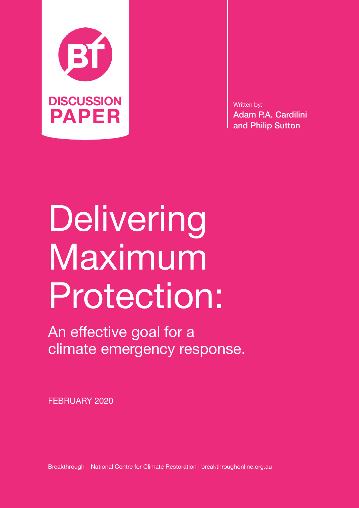

Written by: Adam P.A. Cardilini and Philip Sutton

# Delivering Maximum Protection:

An effective goal for a climate emergency response.

FEBRUARY 2020

Breakthrough – National Centre for Climate Restoration | breakthroughonline.org.au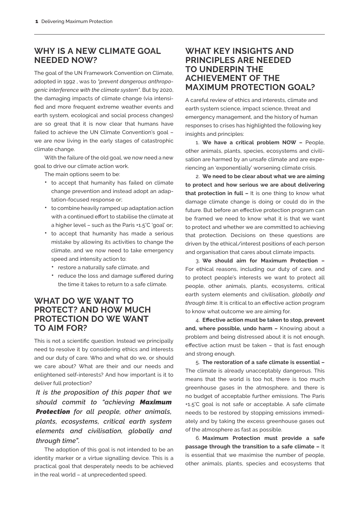## **WHY IS A NEW CLIMATE GOAL NEEDED NOW?**

The goal of the UN Framework Convention on Climate, adopted in 1992 , was to *"prevent dangerous anthropogenic interference with the climate system"*. But by 2020, the damaging impacts of climate change (via intensified and more frequent extreme weather events and earth system, ecological and social process changes) are so great that it is now clear that humans have failed to achieve the UN Climate Convention's goal – we are now living in the early stages of catastrophic climate change.

With the failure of the old goal, we now need a new goal to drive our climate action work.

The main options seem to be:

- to accept that humanity has failed on climate change prevention and instead adopt an adaptation-focused response or;
- to combine heavily ramped up adaptation action with a continued effort to stabilise the climate at a higher level – such as the Paris +1.5°C 'goal' or;
- to accept that humanity has made a serious mistake by allowing its activities to change the climate, and we now need to take emergency speed and intensity action to:
	- restore a naturally safe climate, and
	- reduce the loss and damage suffered during the time it takes to return to a safe climate.

# **WHAT DO WE WANT TO PROTECT? AND HOW MUCH PROTECTION DO WE WANT TO AIM FOR?**

This is not a scientific question. Instead we principally need to resolve it by considering ethics and interests and our duty of care. Who and what do we, or should we care about? What are their and our needs and enlightened self-interests? And how important is it to deliver full protection?

*It is the proposition of this paper that we should commit to "achieving Maximum Protection for all people, other animals, plants, ecosystems, critical earth system elements and civilisation, globally and through time".*

The adoption of this goal is not intended to be an identity marker or a virtue signalling device. This is a practical goal that desperately needs to be achieved in the real world – at unprecedented speed.

# **WHAT KEY INSIGHTS AND PRINCIPLES ARE NEEDED TO UNDERPIN THE ACHIEVEMENT OF THE MAXIMUM PROTECTION GOAL?**

A careful review of ethics and interests, climate and earth system science, impact science, threat and emergency management, and the history of human responses to crises has highlighted the following key insights and principles:

1. **We have a critical problem NOW –** People, other animals, plants, species, ecosystems and civilisation are harmed by an unsafe climate and are experiencing an 'exponentially' worsening climate crisis.

2. **We need to be clear about what we are aiming to protect and how serious we are about delivering that protection in full –** It is one thing to know what damage climate change is doing or could do in the future. But before an effective protection program can be framed we need to know what it is that we want to protect and whether we are committed to achieving that protection. Decisions on these questions are driven by the ethical/interest positions of each person and organisation that cares about climate impacts.

3. **We should aim for Maximum Protection –** For ethical reasons, including our duty of care, and to protect people's interests we want to protect all people, other animals, plants, ecosystems, critical earth system elements and civilisation, *globally and through time*. It is critical to an effective action program to know what outcome we are aiming for.

4. **Effective action must be taken to stop, prevent and, where possible, undo harm –** Knowing about a problem and being distressed about it is not enough, effective action must be taken – that is fast enough and strong enough.

5. **The restoration of a safe climate is essential –** The climate is already unacceptably dangerous. This means that the world is too hot, there is too much greenhouse gases in the atmosphere, and there is no budget of acceptable further emissions. The Paris +1.5°C goal is not safe or acceptable. A safe climate needs to be restored by stopping emissions immediately and by taking the excess greenhouse gases out of the atmosphere as fast as possible.

6. **Maximum Protection must provide a safe passage through the transition to a safe climate –** It is essential that we maximise the number of people, other animals, plants, species and ecosystems that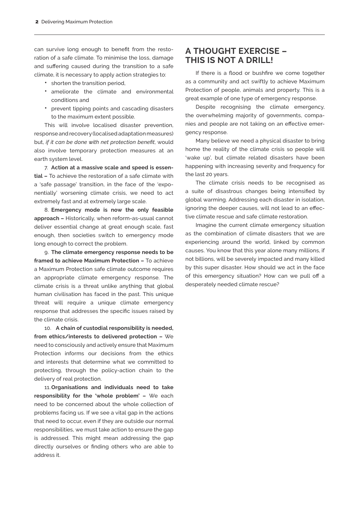can survive long enough to benefit from the restoration of a safe climate. To minimise the loss, damage and suffering caused during the transition to a safe climate, it is necessary to apply action strategies to:

- shorten the transition period,
- ameliorate the climate and environmental conditions and
- prevent tipping points and cascading disasters to the maximum extent possible.

This will involve localised disaster prevention, response and recovery (localised adaptation measures) but, *if it can be done with net protection benefit*, would also involve temporary protection measures at an earth system level.

7. **Action at a massive scale and speed is essential –** To achieve the restoration of a safe climate with a 'safe passage' transition, in the face of the 'exponentially' worsening climate crisis, we need to act extremely fast and at extremely large scale.

8. **Emergency mode is now the only feasible approach –** Historically, when reform-as-usual cannot deliver essential change at great enough scale, fast enough, then societies switch to emergency mode long enough to correct the problem.

9. **The climate emergency response needs to be framed to achieve Maximum Protection –** To achieve a Maximum Protection safe climate outcome requires an appropriate climate emergency response. The climate crisis is a threat unlike anything that global human civilisation has faced in the past. This unique threat will require a unique climate emergency response that addresses the specific issues raised by the climate crisis.

10. **A chain of custodial responsibility is needed, from ethics/interests to delivered protection –** We need to consciously and actively ensure that Maximum Protection informs our decisions from the ethics and interests that determine what we committed to protecting, through the policy-action chain to the delivery of real protection.

11.**Organisations and individuals need to take responsibility for the 'whole problem' –** We each need to be concerned about the whole collection of problems facing us. If we see a vital gap in the actions that need to occur, even if they are outside our normal responsibilities, we must take action to ensure the gap is addressed. This might mean addressing the gap directly ourselves or finding others who are able to address it.

### **A THOUGHT EXERCISE – THIS IS NOT A DRILL!**

If there is a flood or bushfire we come together as a community and act swiftly to achieve Maximum Protection of people, animals and property. This is a great example of one type of emergency response.

Despite recognising the climate emergency, the overwhelming majority of governments, companies and people are not taking on an effective emergency response.

Many believe we need a physical disaster to bring home the reality of the climate crisis so people will 'wake up', but climate related disasters have been happening with increasing severity and frequency for the last 20 years.

The climate crisis needs to be recognised as a suite of disastrous changes being intensified by global warming. Addressing each disaster in isolation, ignoring the deeper causes, will not lead to an effective climate rescue and safe climate restoration.

Imagine the current climate emergency situation as the combination of climate disasters that we are experiencing around the world, linked by common causes. You know that this year alone many millions, if not billions, will be severely impacted and many killed by this super disaster. How should we act in the face of this emergency situation? How can we pull off a desperately needed climate rescue?